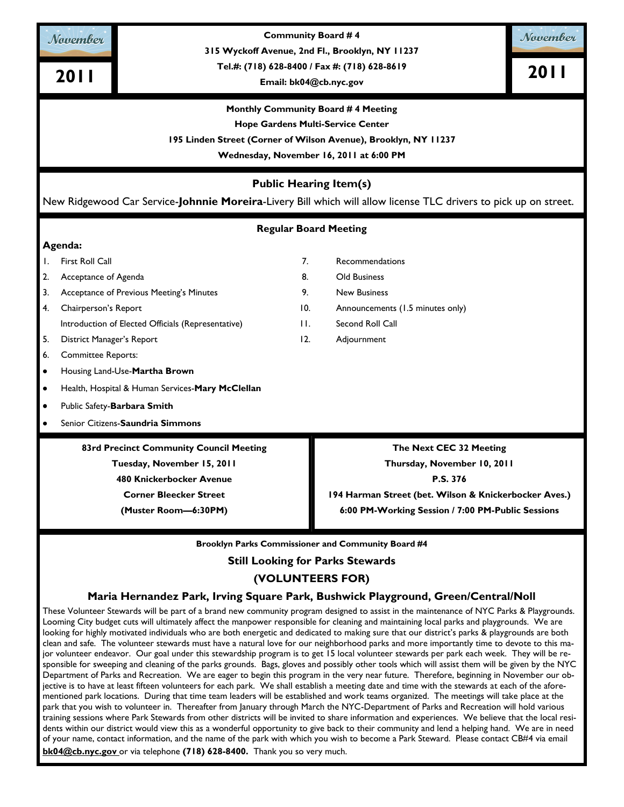| November |  |  |
|----------|--|--|
|          |  |  |

**Community Board # 4**

**315 Wyckoff Avenue, 2nd Fl., Brooklyn, NY 11237**

Tel.#: (718) 628-8400 / Fax #: (718) 628-8619<br>
Email: bk04@cb.nyc.gov **2011** 

**Email: bk04@cb.nyc.gov**

**Monthly Community Board # 4 Meeting**

**Hope Gardens Multi-Service Center**

**195 Linden Street (Corner of Wilson Avenue), Brooklyn, NY 11237**

**Wednesday, November 16, 2011 at 6:00 PM**

## **Public Hearing Item(s)**

New Ridgewood Car Service-**Johnnie Moreira**-Livery Bill which will allow license TLC drivers to pick up on street.

## **Regular Board Meeting**

#### **Agenda:**

- 
- 2. Acceptance of Agenda 8. Old Business
- 3. Acceptance of Previous Meeting's Minutes 1988 1998 1998. New Business
- 4. Chairperson's Report 10. Announcements (1.5 minutes only) Introduction of Elected Officials (Representative) 11. Second Roll Call
- 5. District Manager's Report 12. Adjournment
- 6. Committee Reports:
- Housing Land-Use-**Martha Brown**  $\bullet$
- Health, Hospital & Human Services-**Mary McClellan**
- Public Safety-**Barbara Smith**
- Senior Citizens-**Saundria Simmons**

**83rd Precinct Community Council Meeting Tuesday, November 15, 2011**

**480 Knickerbocker Avenue**

**Corner Bleecker Street**

**(Muster Room—6:30PM)**

- 1. First Roll Call 7. Recommendations
	-
	-
	-
	-
	-

**The Next CEC 32 Meeting Thursday, November 10, 2011 P.S. 376**

November

**194 Harman Street (bet. Wilson & Knickerbocker Aves.) 6:00 PM-Working Session / 7:00 PM-Public Sessions**

**Brooklyn Parks Commissioner and Community Board #4**

### **Still Looking for Parks Stewards**

## **(VOLUNTEERS FOR)**

### **Maria Hernandez Park, Irving Square Park, Bushwick Playground, Green/Central/Noll**

These Volunteer Stewards will be part of a brand new community program designed to assist in the maintenance of NYC Parks & Playgrounds. Looming City budget cuts will ultimately affect the manpower responsible for cleaning and maintaining local parks and playgrounds. We are looking for highly motivated individuals who are both energetic and dedicated to making sure that our district's parks & playgrounds are both clean and safe. The volunteer stewards must have a natural love for our neighborhood parks and more importantly time to devote to this major volunteer endeavor. Our goal under this stewardship program is to get 15 local volunteer stewards per park each week. They will be responsible for sweeping and cleaning of the parks grounds. Bags, gloves and possibly other tools which will assist them will be given by the NYC Department of Parks and Recreation. We are eager to begin this program in the very near future. Therefore, beginning in November our objective is to have at least fifteen volunteers for each park. We shall establish a meeting date and time with the stewards at each of the aforementioned park locations. During that time team leaders will be established and work teams organized. The meetings will take place at the park that you wish to volunteer in. Thereafter from January through March the NYC-Department of Parks and Recreation will hold various training sessions where Park Stewards from other districts will be invited to share information and experiences. We believe that the local residents within our district would view this as a wonderful opportunity to give back to their community and lend a helping hand. We are in need of your name, contact information, and the name of the park with which you wish to become a Park Steward. Please contact CB#4 via email **bk04@cb.nyc.gov** or via telephone **(718) 628-8400.** Thank you so very much.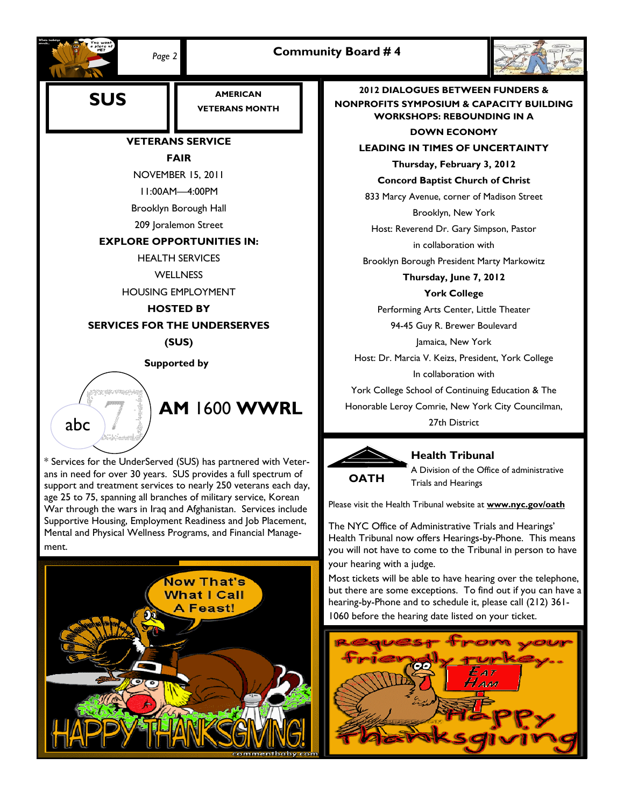

The NYC Office of Administrative Trials and Hearings' Health Tribunal now offers Hearings-by-Phone. This means you will not have to come to the Tribunal in person to have your hearing with a judge.

Most tickets will be able to have hearing over the telephone, but there are some exceptions. To find out if you can have a hearing-by-Phone and to schedule it, please call (212) 361- 1060 before the hearing date listed on your ticket.



War through the wars in Iraq and Afghanistan. Services include Supportive Housing, Employment Readiness and Job Placement, Mental and Physical Wellness Programs, and Financial Management.

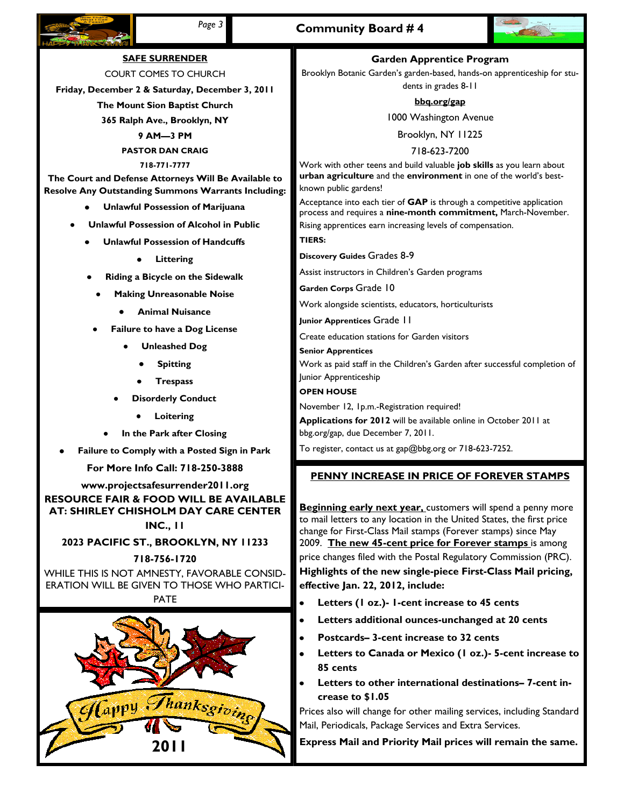



## **SAFE SURRENDER**

COURT COMES TO CHURCH

**Friday, December 2 & Saturday, December 3, 2011**

**The Mount Sion Baptist Church**

**365 Ralph Ave., Brooklyn, NY**

**9 AM—3 PM**

# **PASTOR DAN CRAIG**

#### **718-771-7777**

**The Court and Defense Attorneys Will Be Available to Resolve Any Outstanding Summons Warrants Including:**

**Unlawful Possession of Marijuana**

**Unlawful Possession of Alcohol in Public**

- **Unlawful Possession of Handcuffs**
	- **Littering**
- **Riding a Bicycle on the Sidewalk**
	- **Making Unreasonable Noise**
		- **Animal Nuisance**
- **Failure to have a Dog License**
	- **Unleashed Dog**
		- **Spitting**
		- **Trespass**
	- **Disorderly Conduct**
		- **Loitering**
	- **In the Park after Closing**
- **Failure to Comply with a Posted Sign in Park**

**For More Info Call: 718-250-3888**

**www.projectsafesurrender2011.org RESOURCE FAIR & FOOD WILL BE AVAILABLE AT: SHIRLEY CHISHOLM DAY CARE CENTER INC., 11**

### **2023 PACIFIC ST., BROOKLYN, NY 11233**

#### **718-756-1720**

WHILE THIS IS NOT AMNESTY, FAVORABLE CONSID-ERATION WILL BE GIVEN TO THOSE WHO PARTICI-PATE



### **Garden Apprentice Program**

Brooklyn Botanic Garden's garden-based, hands-on apprenticeship for students in grades 8-11

#### **bbq.org/gap**

1000 Washington Avenue

Brooklyn, NY 11225

718-623-7200

Work with other teens and build valuable **job skills** as you learn about **urban agriculture** and the **environment** in one of the world's bestknown public gardens!

Acceptance into each tier of **GAP** is through a competitive application process and requires a **nine-month commitment,** March-November. Rising apprentices earn increasing levels of compensation.

**TIERS:**

**Discovery Guides** Grades 8-9

Assist instructors in Children's Garden programs

**Garden Corps** Grade 10

Work alongside scientists, educators, horticulturists

**Junior Apprentices** Grade 11

Create education stations for Garden visitors

**Senior Apprentices**

Work as paid staff in the Children's Garden after successful completion of Junior Apprenticeship

**OPEN HOUSE**

November 12, 1p.m.-Registration required!

**Applications for 2012** will be available online in October 2011 at bbg.org/gap, due December 7, 2011.

To register, contact us at gap@bbg.org or 718-623-7252.

## **PENNY INCREASE IN PRICE OF FOREVER STAMPS**

**Beginning early next year, customers will spend a penny more** to mail letters to any location in the United States, the first price change for First-Class Mail stamps (Forever stamps) since May 2009. **The new 45-cent price for Forever stamps** is among price changes filed with the Postal Regulatory Commission (PRC). **Highlights of the new single-piece First-Class Mail pricing, effective Jan. 22, 2012, include:**

- **Letters (1 oz.)- 1-cent increase to 45 cents**
- **Letters additional ounces-unchanged at 20 cents**  $\bullet$
- **Postcards– 3-cent increase to 32 cents**
- **Letters to Canada or Mexico (1 oz.)- 5-cent increase to 85 cents**
- **Letters to other international destinations– 7-cent increase to \$1.05**

Prices also will change for other mailing services, including Standard Mail, Periodicals, Package Services and Extra Services.

**Express Mail and Priority Mail prices will remain the same.**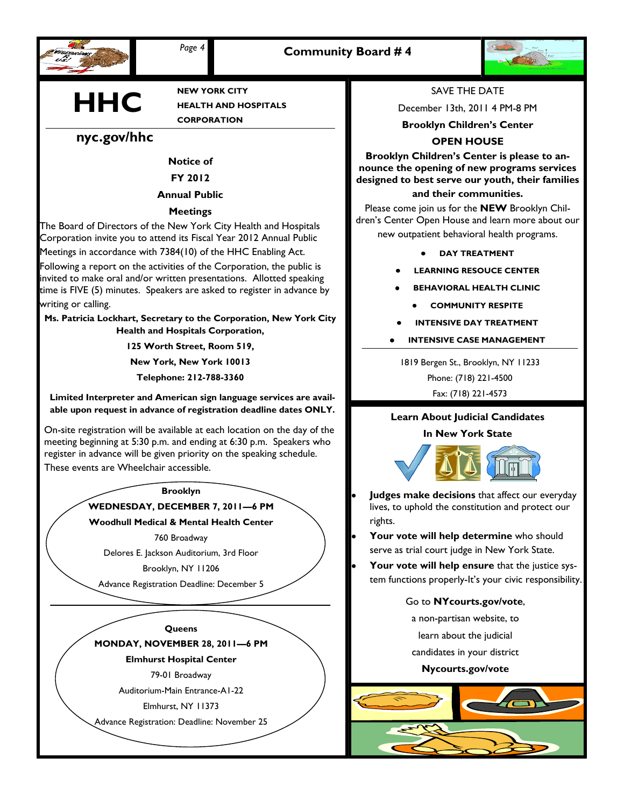



**HHC** NEW YORK CITY

**HEALTH AND HOSPITALS CORPORATION**

# **nyc.gov/hhc**

## **Notice of**

**FY 2012**

### **Annual Public**

#### **Meetings**

The Board of Directors of the New York City Health and Hospitals Corporation invite you to attend its Fiscal Year 2012 Annual Public Meetings in accordance with 7384(10) of the HHC Enabling Act.

Following a report on the activities of the Corporation, the public is invited to make oral and/or written presentations. Allotted speaking time is FIVE (5) minutes. Speakers are asked to register in advance by writing or calling.

**Ms. Patricia Lockhart, Secretary to the Corporation, New York City Health and Hospitals Corporation,** 

**125 Worth Street, Room 519,** 

**New York, New York 10013**

**Telephone: 212-788-3360**

**Limited Interpreter and American sign language services are available upon request in advance of registration deadline dates ONLY.**

On-site registration will be available at each location on the day of the meeting beginning at 5:30 p.m. and ending at 6:30 p.m. Speakers who register in advance will be given priority on the speaking schedule. These events are Wheelchair accessible.

> **Brooklyn WEDNESDAY, DECEMBER 7, 2011—6 PM**

> **Woodhull Medical & Mental Health Center**

760 Broadway

Delores E. Jackson Auditorium, 3rd Floor

Brooklyn, NY 11206

Advance Registration Deadline: December 5

**Queens MONDAY, NOVEMBER 28, 2011—6 PM Elmhurst Hospital Center** 79-01 Broadway

Auditorium-Main Entrance-A1-22

Elmhurst, NY 11373

Advance Registration: Deadline: November 25

SAVE THE DATE

December 13th, 2011 4 PM-8 PM

**Brooklyn Children's Center**

## **OPEN HOUSE**

**Brooklyn Children's Center is please to announce the opening of new programs services designed to best serve our youth, their families** 

#### **and their communities.**

Please come join us for the **NEW** Brooklyn Children's Center Open House and learn more about our

new outpatient behavioral health programs.

- **DAY TREATMENT**
- **LEARNING RESOUCE CENTER**
- **BEHAVIORAL HEALTH CLINIC**
	- **COMMUNITY RESPITE**
- **INTENSIVE DAY TREATMENT**
- **INTENSIVE CASE MANAGEMENT**

1819 Bergen St., Brooklyn, NY 11233 Phone: (718) 221-4500 Fax: (718) 221-4573

## **Learn About Judicial Candidates**

**In New York State**



**Judges make decisions** that affect our everyday lives, to uphold the constitution and protect our rights.

**Your vote will help determine** who should serve as trial court judge in New York State.

**Your vote will help ensure** that the justice system functions properly-It's your civic responsibility.

Go to **NYcourts.gov/vote**,

a non-partisan website, to

learn about the judicial

candidates in your district

### **Nycourts.gov/vote**